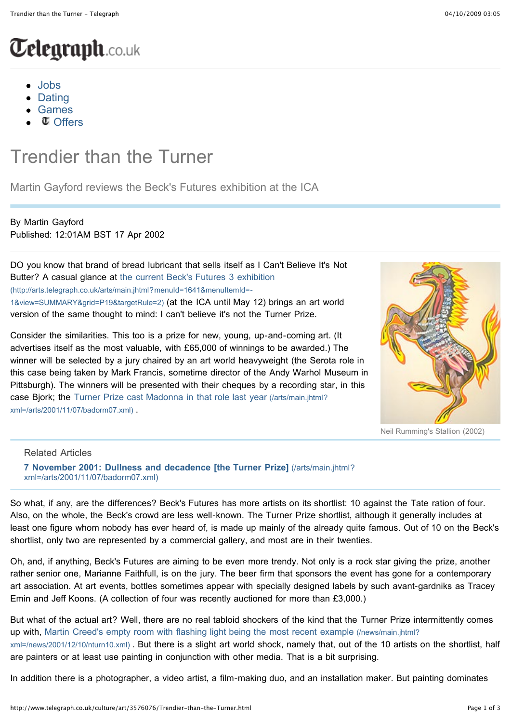# [W](http://www.telegraph.co.uk/)ebsite of the Telegraph Media Group with breaking news, sport, business, latest UK and world news. Content from the Daily Telegraph and Sunday Telegraph newspapers and video from Telegraph TV.

- [Jobs](http://jobs.telegraph.co.uk/)
- [Dating](http://dating.telegraph.co.uk/s/a/4167)
- [Games](http://www.clueduppuzzles.telegraph.co.uk/)
- $\sigma$  [Offers](http://www.telegraph.co.uk/sponsored/offers/)

# Trendier than the Turner

Martin Gayford reviews the Beck's Futures exhibition at the ICA

#### By Martin Gayford Published: 12:01AM BST 17 Apr 2002

DO you know that brand of bread lubricant that sells itself as I Can't Believe It's Not [Butter? A casual glance at the current Beck's Futures 3 exhibition](http://arts.telegraph.co.uk/arts/main.jhtml?menuId=1641&menuItemId=-1&view=SUMMARY&grid=P19&targetRule=2) (http://arts.telegraph.co.uk/arts/main.jhtml?menuId=1641&menuItemId=- 1&view=SUMMARY&grid=P19&targetRule=2) (at the ICA until May 12) brings an art world version of the same thought to mind: I can't believe it's not the Turner Prize.

Consider the similarities. This too is a prize for new, young, up-and-coming art. (It advertises itself as the most valuable, with £65,000 of winnings to be awarded.) The winner will be selected by a jury chaired by an art world heavyweight (the Serota role in this case being taken by Mark Francis, sometime director of the Andy Warhol Museum in Pittsburgh). The winners will be presented with their cheques by a recording star, in this [case Bjork; the Turner Prize cast Madonna in that role last year \(/arts/main.jhtml?](http://www.telegraph.co.uk/arts/main.jhtml?xml=/arts/2001/11/07/badorm07.xml) xml=/arts/2001/11/07/badorm07.xml) .



Neil Rumming's Stallion (2002)

Related Articles

**[7 November 2001: Dullness and decadence \[the Turner Prize\]](http://www.telegraph.co.uk/arts/main.jhtml?xml=/arts/2001/11/07/badorm07.xml)** (/arts/main.jhtml? xml=/arts/2001/11/07/badorm07.xml)

So what, if any, are the differences? Beck's Futures has more artists on its shortlist: 10 against the Tate ration of four. Also, on the whole, the Beck's crowd are less well-known. The Turner Prize shortlist, although it generally includes at least one figure whom nobody has ever heard of, is made up mainly of the already quite famous. Out of 10 on the Beck's shortlist, only two are represented by a commercial gallery, and most are in their twenties.

Oh, and, if anything, Beck's Futures are aiming to be even more trendy. Not only is a rock star giving the prize, another rather senior one, Marianne Faithfull, is on the jury. The beer firm that sponsors the event has gone for a contemporary art association. At art events, bottles sometimes appear with specially designed labels by such avant-gardniks as Tracey Emin and Jeff Koons. (A collection of four was recently auctioned for more than £3,000.)

But what of the actual art? Well, there are no real tabloid shockers of the kind that the Turner Prize intermittently comes up with, Martin Creed's empty room with flashing light being the most recent example (/news/main.jhtml? [xml=/news/2001/12/10/nturn10.xml\) . But there is a slight art world shock, namely that, out of the 10 artists o](http://www.telegraph.co.uk/news/main.jhtml?xml=/news/2001/12/10/nturn10.xml)n the shortlist, half are painters or at least use painting in conjunction with other media. That is a bit surprising.

In addition there is a photographer, a video artist, a film-making duo, and an installation maker. But painting dominates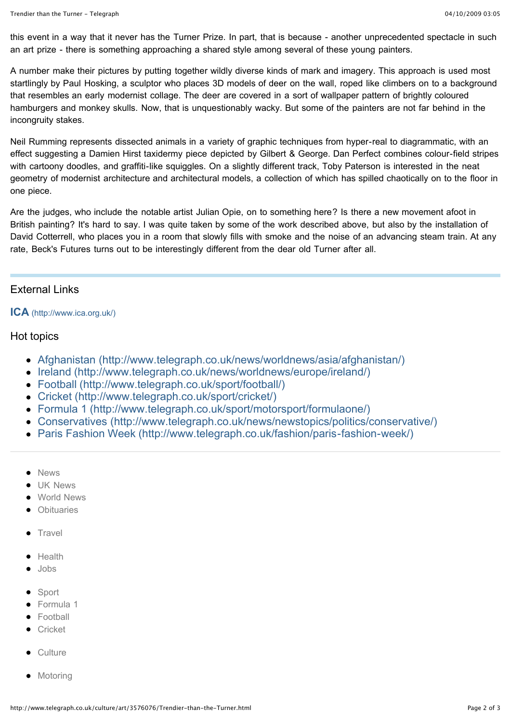this event in a way that it never has the Turner Prize. In part, that is because - another unprecedented spectacle in such an art prize - there is something approaching a shared style among several of these young painters.

A number make their pictures by putting together wildly diverse kinds of mark and imagery. This approach is used most startlingly by Paul Hosking, a sculptor who places 3D models of deer on the wall, roped like climbers on to a background that resembles an early modernist collage. The deer are covered in a sort of wallpaper pattern of brightly coloured hamburgers and monkey skulls. Now, that is unquestionably wacky. But some of the painters are not far behind in the incongruity stakes.

Neil Rumming represents dissected animals in a variety of graphic techniques from hyper-real to diagrammatic, with an effect suggesting a Damien Hirst taxidermy piece depicted by Gilbert & George. Dan Perfect combines colour-field stripes with cartoony doodles, and graffiti-like squiggles. On a slightly different track, Toby Paterson is interested in the neat geometry of modernist architecture and architectural models, a collection of which has spilled chaotically on to the floor in one piece.

Are the judges, who include the notable artist Julian Opie, on to something here? Is there a new movement afoot in British painting? It's hard to say. I was quite taken by some of the work described above, but also by the installation of David Cotterrell, who places you in a room that slowly fills with smoke and the noise of an advancing steam train. At any rate, Beck's Futures turns out to be interestingly different from the dear old Turner after all.

# External Links

#### **ICA** [\(http://www.ica.org.uk/\)](http://www.ica.org.uk/)

### Hot topics

- [Afghanistan \(http://www.telegraph.co.uk/news/worldnews/asia/afghanistan/\)](http://www.telegraph.co.uk/news/worldnews/asia/afghanistan/)
- [Ireland \(http://www.telegraph.co.uk/news/worldnews/europe/ireland/\)](http://www.telegraph.co.uk/news/worldnews/europe/ireland/)
- [Football \(http://www.telegraph.co.uk/sport/football/\)](http://www.telegraph.co.uk/sport/football/)
- [Cricket \(http://www.telegraph.co.uk/sport/cricket/\)](http://www.telegraph.co.uk/sport/cricket/)
- [Formula 1 \(http://www.telegraph.co.uk/sport/motorsport/formulaone/\)](http://www.telegraph.co.uk/sport/motorsport/formulaone/)
- [Conservatives \(http://www.telegraph.co.uk/news/newstopics/politics/conservative/\)](http://www.telegraph.co.uk/news/newstopics/politics/conservative/)
- [Paris Fashion Week \(http://www.telegraph.co.uk/fashion/paris-fashion-week/\)](http://www.telegraph.co.uk/fashion/paris-fashion-week/)
- [News](http://www.telegraph.co.uk/news/)
- **[UK News](http://www.telegraph.co.uk/news/uknews/)**
- [World News](http://www.telegraph.co.uk/news/worldnews/)
- [Obituaries](http://www.telegraph.co.uk/news/obituaries/)
- $\bullet$  [Travel](http://www.telegraph.co.uk/travel/)
- [Health](http://www.telegraph.co.uk/health/)
- [Jobs](http://jobs.telegraph.co.uk/)
- [Sport](http://www.telegraph.co.uk/sport/)
- **•** [Formula 1](http://www.telegraph.co.uk/sport/motorsport/formulaone/)
- **•** [Football](http://www.telegraph.co.uk/sport/football/)
- **•** [Cricket](http://www.telegraph.co.uk/sport/cricket/)
- [Culture](http://www.telegraph.co.uk/culture/)
- [Motoring](http://www.telegraph.co.uk/motoring/)